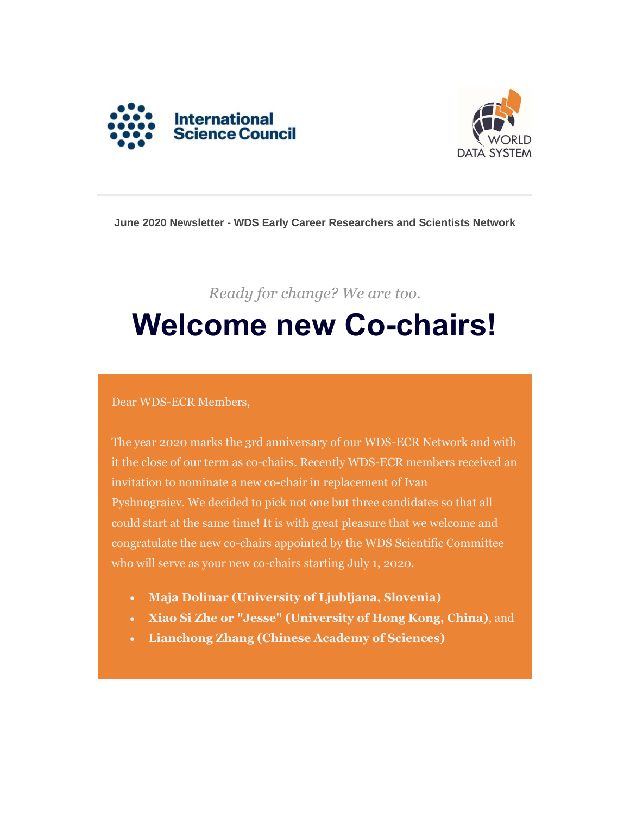



#### **June 2020 Newsletter - WDS Early Career Researchers and Scientists Network**

# *Ready for change? We are too.* **Welcome new Co-chairs!**

#### Dear WDS-ECR Members,

The year 2020 marks the 3rd anniversary of our WDS-ECR Network and with it the close of our term as co-chairs. Recently WDS-ECR members received an invitation to nominate a new co-chair in replacement of Ivan Pyshnograiev. We decided to pick not one but three candidates so that all could start at the same time! It is with great pleasure that we welcome and congratulate the new co-chairs appointed by the WDS Scientific Committee who will serve as your new co-chairs starting July 1, 2020.

- **Maja Dolinar (University of Ljubljana, Slovenia)**
- **Xiao Si Zhe or "Jesse" (University of Hong Kong, China)**, and
- **Lianchong Zhang (Chinese Academy of Sciences)**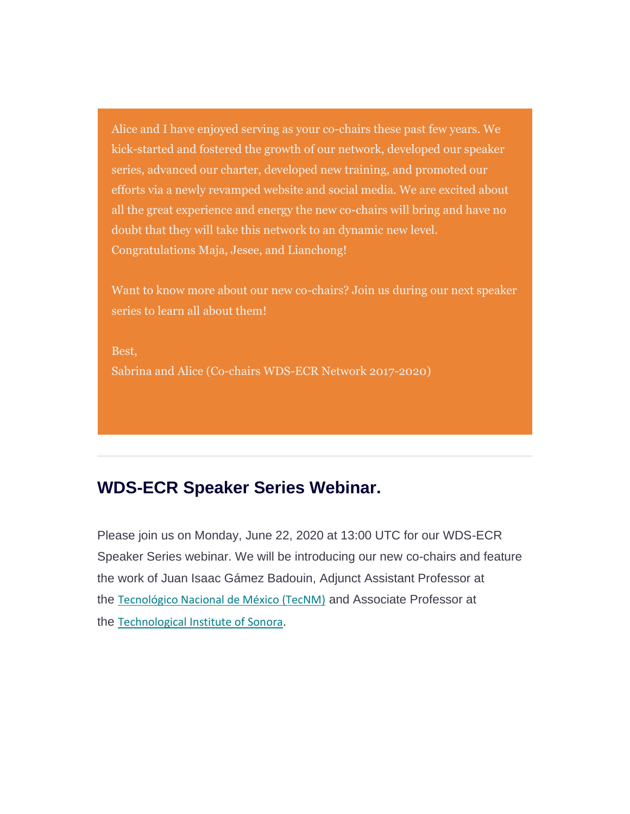Alice and I have enjoyed serving as your co-chairs these past few years. We kick-started and fostered the growth of our network, developed our speaker series, advanced our charter, developed new training, and promoted our efforts via a newly revamped website and social media. We are excited about all the great experience and energy the new co-chairs will bring and have no doubt that they will take this network to an dynamic new level. Congratulations Maja, Jesee, and Lianchong!

Want to know more about our new co-chairs? Join us during our next speaker series to learn all about them!

Best, Sabrina and Alice (Co-chairs WDS-ECR Network 2017-2020)

### **WDS-ECR Speaker Series Webinar.**

Please join us on Monday, June 22, 2020 at 13:00 UTC for our WDS-ECR Speaker Series webinar. We will be introducing our new co-chairs and feature the work of Juan Isaac Gámez Badouin, Adjunct Assistant Professor at the [Tecnológico Nacional de México \(TecNM\)](https://www.tecnm.mx/) and Associate Professor at the Technological [Institute of Sonora](https://www.itson.mx/Paginas/index.aspx).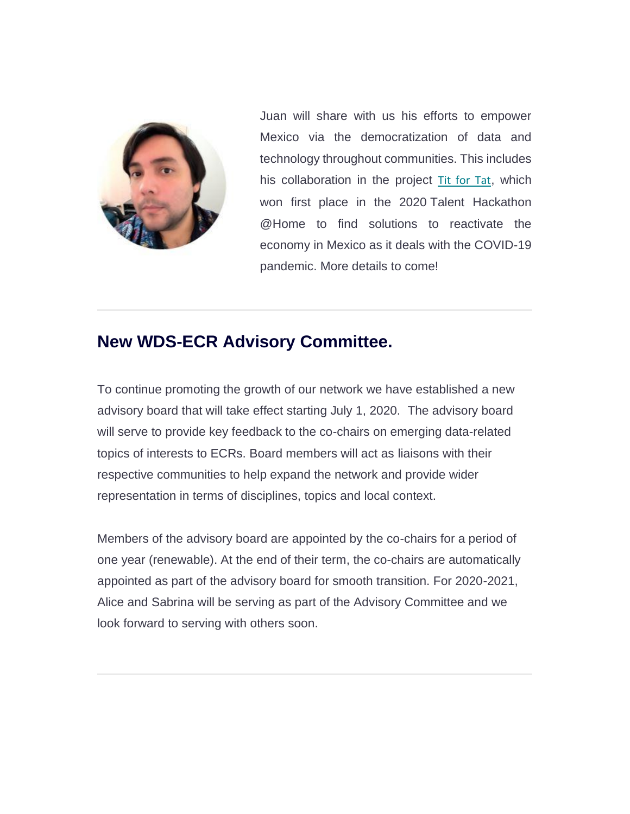

Juan will share with us his efforts to empower Mexico via the democratization of data and technology throughout communities. This includes his collaboration in the project [Tit for Tat](http://lcsia.com/TitforTat/), which won first place in the 2020 Talent Hackathon @Home to find solutions to reactivate the economy in Mexico as it deals with the COVID-19 pandemic. More details to come!

## **New WDS-ECR Advisory Committee.**

To continue promoting the growth of our network we have established a new advisory board that will take effect starting July 1, 2020. The advisory board will serve to provide key feedback to the co-chairs on emerging data-related topics of interests to ECRs. Board members will act as liaisons with their respective communities to help expand the network and provide wider representation in terms of disciplines, topics and local context.

Members of the advisory board are appointed by the co-chairs for a period of one year (renewable). At the end of their term, the co-chairs are automatically appointed as part of the advisory board for smooth transition. For 2020-2021, Alice and Sabrina will be serving as part of the Advisory Committee and we look forward to serving with others soon.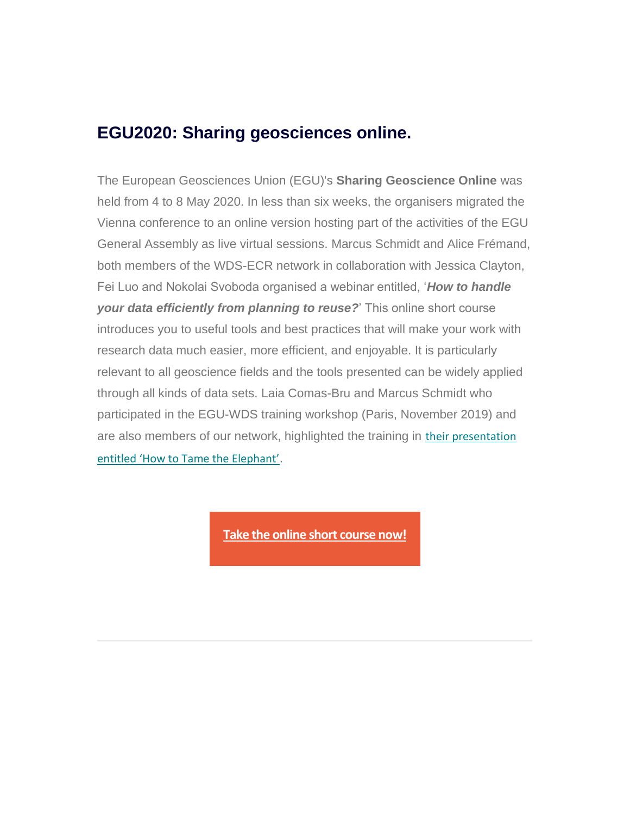### **EGU2020: Sharing geosciences online.**

The European Geosciences Union (EGU)'s **Sharing Geoscience Online** was held from 4 to 8 May 2020. In less than six weeks, the organisers migrated the Vienna conference to an online version hosting part of the activities of the EGU General Assembly as live virtual sessions. Marcus Schmidt and Alice Frémand, both members of the WDS-ECR network in collaboration with Jessica Clayton, Fei Luo and Nokolai Svoboda organised a webinar entitled, '*How to handle your data efficiently from planning to reuse?*' This online short course introduces you to useful tools and best practices that will make your work with research data much easier, more efficient, and enjoyable. It is particularly relevant to all geoscience fields and the tools presented can be widely applied through all kinds of data sets. Laia Comas-Bru and Marcus Schmidt who participated in the EGU-WDS training workshop (Paris, November 2019) and are also members of our network, highlighted the training in [their presentation](https://meetingorganizer.copernicus.org/EGU2020/EGU2020-7115.html)  [entitled 'How to Tame the Elephant'](https://meetingorganizer.copernicus.org/EGU2020/EGU2020-7115.html).

**[Take the online short course now!](https://www.youtube.com/watch?v=tWn-0riN3oI&feature=youtu.be)**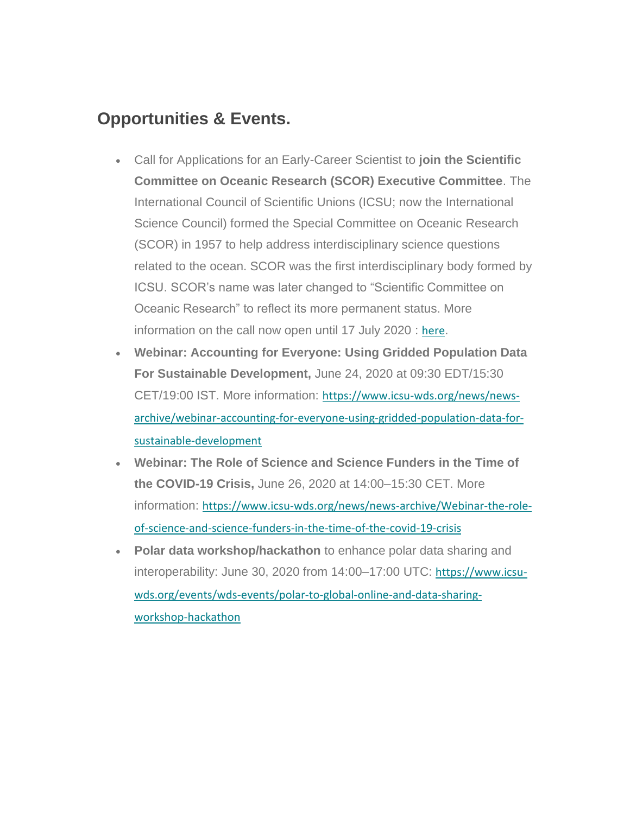## **Opportunities & Events.**

- Call for Applications for an Early-Career Scientist to **join the Scientific Committee on Oceanic Research (SCOR) Executive Committee**. The International Council of Scientific Unions (ICSU; now the International Science Council) formed the Special Committee on Oceanic Research (SCOR) in 1957 to help address interdisciplinary science questions related to the ocean. SCOR was the first interdisciplinary body formed by ICSU. SCOR's name was later changed to "Scientific Committee on Oceanic Research" to reflect its more permanent status. More information on the call now open until 17 July 2020 : [here](http://scor-int.org/wp-content/uploads/2020/05/Early_career_call_2020_final.pdf).
- **Webinar: Accounting for Everyone: Using Gridded Population Data For Sustainable Development,** June 24, 2020 at 09:30 EDT/15:30 CET/19:00 IST. More information: [https://www.icsu-wds.org/news/news](https://www.icsu-wds.org/news/news-archive/webinar-accounting-for-everyone-using-gridded-population-data-for-sustainable-development)[archive/webinar-accounting-for-everyone-using-gridded-population-data-for](https://www.icsu-wds.org/news/news-archive/webinar-accounting-for-everyone-using-gridded-population-data-for-sustainable-development)[sustainable-development](https://www.icsu-wds.org/news/news-archive/webinar-accounting-for-everyone-using-gridded-population-data-for-sustainable-development)
- **Webinar: The Role of Science and Science Funders in the Time of the COVID-19 Crisis,** June 26, 2020 at 14:00–15:30 CET. More information: [https://www.icsu-wds.org/news/news-archive/Webinar-the-role](https://www.icsu-wds.org/news/news-archive/Webinar-the-role-of-science-and-science-funders-in-the-time-of-the-covid-19-crisis)[of-science-and-science-funders-in-the-time-of-the-covid-19-crisis](https://www.icsu-wds.org/news/news-archive/Webinar-the-role-of-science-and-science-funders-in-the-time-of-the-covid-19-crisis)
- **Polar data workshop/hackathon** to enhance polar data sharing and interoperability: June 30, 2020 from 14:00–17:00 UTC: [https://www.icsu](https://www.icsu-wds.org/events/wds-events/polar-to-global-online-and-data-sharing-workshop-hackathon)[wds.org/events/wds-events/polar-to-global-online-and-data-sharing](https://www.icsu-wds.org/events/wds-events/polar-to-global-online-and-data-sharing-workshop-hackathon)[workshop-hackathon](https://www.icsu-wds.org/events/wds-events/polar-to-global-online-and-data-sharing-workshop-hackathon)